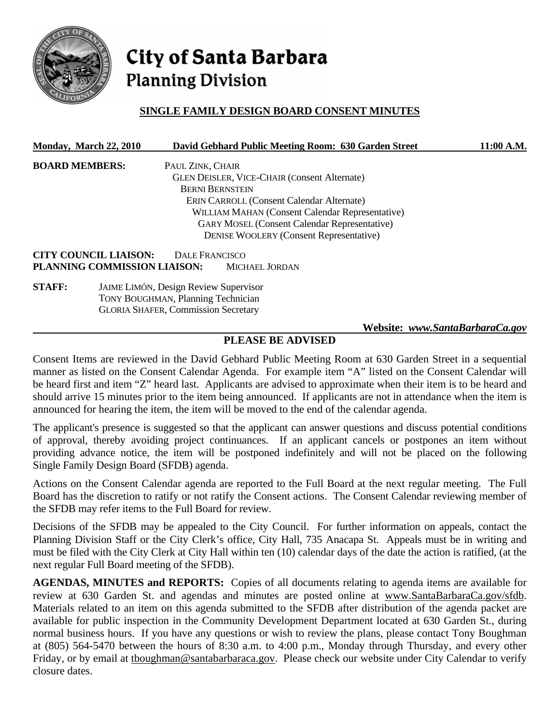

# City of Santa Barbara **Planning Division**

# **SINGLE FAMILY DESIGN BOARD CONSENT MINUTES**

|                       | <b>Monday, March 22, 2010</b>                |                                            | David Gebhard Public Meeting Room: 630 Garden Street | 11:00 A.M. |  |
|-----------------------|----------------------------------------------|--------------------------------------------|------------------------------------------------------|------------|--|
| <b>BOARD MEMBERS:</b> |                                              | PAUL ZINK, CHAIR                           |                                                      |            |  |
|                       |                                              |                                            | <b>GLEN DEISLER, VICE-CHAIR (Consent Alternate)</b>  |            |  |
|                       |                                              | <b>BERNI BERNSTEIN</b>                     |                                                      |            |  |
|                       |                                              |                                            | <b>ERIN CARROLL (Consent Calendar Alternate)</b>     |            |  |
|                       |                                              |                                            | WILLIAM MAHAN (Consent Calendar Representative)      |            |  |
|                       |                                              |                                            | <b>GARY MOSEL (Consent Calendar Representative)</b>  |            |  |
|                       |                                              |                                            | <b>DENISE WOOLERY (Consent Representative)</b>       |            |  |
|                       | <b>CITY COUNCIL LIAISON:</b>                 | DALE FRANCISCO                             |                                                      |            |  |
|                       | PLANNING COMMISSION LIAISON:                 |                                            | MICHAEL JORDAN                                       |            |  |
| <b>STAFF:</b>         | <b>JAIME LIMÓN, Design Review Supervisor</b> |                                            |                                                      |            |  |
|                       | <b>TONY BOUGHMAN, Planning Technician</b>    |                                            |                                                      |            |  |
|                       |                                              | <b>GLORIA SHAFER, Commission Secretary</b> |                                                      |            |  |

#### **Website:** *www.SantaBarbaraCa.gov*

# **PLEASE BE ADVISED**

Consent Items are reviewed in the David Gebhard Public Meeting Room at 630 Garden Street in a sequential manner as listed on the Consent Calendar Agenda. For example item "A" listed on the Consent Calendar will be heard first and item "Z" heard last. Applicants are advised to approximate when their item is to be heard and should arrive 15 minutes prior to the item being announced. If applicants are not in attendance when the item is announced for hearing the item, the item will be moved to the end of the calendar agenda.

The applicant's presence is suggested so that the applicant can answer questions and discuss potential conditions of approval, thereby avoiding project continuances. If an applicant cancels or postpones an item without providing advance notice, the item will be postponed indefinitely and will not be placed on the following Single Family Design Board (SFDB) agenda.

Actions on the Consent Calendar agenda are reported to the Full Board at the next regular meeting. The Full Board has the discretion to ratify or not ratify the Consent actions. The Consent Calendar reviewing member of the SFDB may refer items to the Full Board for review.

Decisions of the SFDB may be appealed to the City Council. For further information on appeals, contact the Planning Division Staff or the City Clerk's office, City Hall, 735 Anacapa St. Appeals must be in writing and must be filed with the City Clerk at City Hall within ten (10) calendar days of the date the action is ratified, (at the next regular Full Board meeting of the SFDB).

**AGENDAS, MINUTES and REPORTS:** Copies of all documents relating to agenda items are available for review at 630 Garden St. and agendas and minutes are posted online at www.SantaBarbaraCa.gov/sfdb. Materials related to an item on this agenda submitted to the SFDB after distribution of the agenda packet are available for public inspection in the Community Development Department located at 630 Garden St., during normal business hours. If you have any questions or wish to review the plans, please contact Tony Boughman at (805) 564-5470 between the hours of 8:30 a.m. to 4:00 p.m., Monday through Thursday, and every other Friday, or by email at tboughman@santabarbaraca.gov. Please check our website under City Calendar to verify closure dates.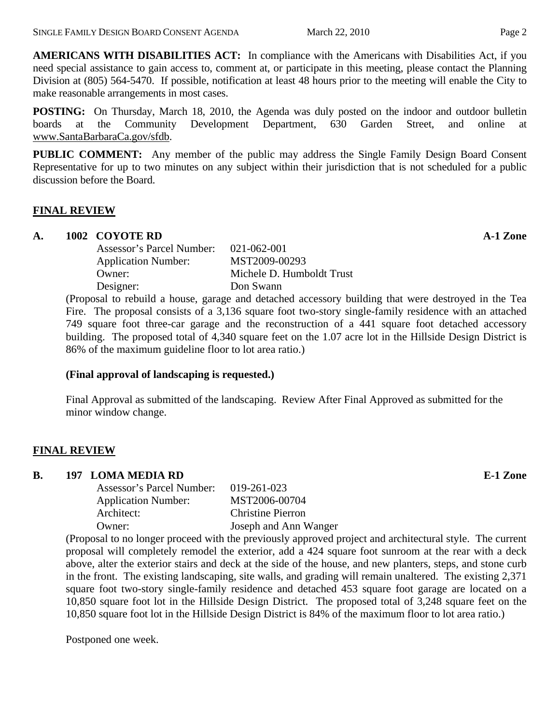**AMERICANS WITH DISABILITIES ACT:** In compliance with the Americans with Disabilities Act, if you need special assistance to gain access to, comment at, or participate in this meeting, please contact the Planning Division at (805) 564-5470. If possible, notification at least 48 hours prior to the meeting will enable the City to make reasonable arrangements in most cases.

**POSTING:** On Thursday, March 18, 2010, the Agenda was duly posted on the indoor and outdoor bulletin boards at the Community Development Department, 630 Garden Street, and online at www.SantaBarbaraCa.gov/sfdb.

**PUBLIC COMMENT:** Any member of the public may address the Single Family Design Board Consent Representative for up to two minutes on any subject within their jurisdiction that is not scheduled for a public discussion before the Board.

## **FINAL REVIEW**

## **A. 1002 COYOTE RD A-1 Zone**

| $021 - 062 - 001$         |
|---------------------------|
| MST2009-00293             |
| Michele D. Humboldt Trust |
| Don Swann                 |
|                           |

(Proposal to rebuild a house, garage and detached accessory building that were destroyed in the Tea Fire. The proposal consists of a 3,136 square foot two-story single-family residence with an attached 749 square foot three-car garage and the reconstruction of a 441 square foot detached accessory building. The proposed total of 4,340 square feet on the 1.07 acre lot in the Hillside Design District is 86% of the maximum guideline floor to lot area ratio.)

#### **(Final approval of landscaping is requested.)**

Final Approval as submitted of the landscaping. Review After Final Approved as submitted for the minor window change.

## **FINAL REVIEW**

#### **B. 197 LOMA MEDIA RD E-1 Zone**

| Assessor's Parcel Number: 019-261-023 |                          |
|---------------------------------------|--------------------------|
| <b>Application Number:</b>            | MST2006-00704            |
| Architect:                            | <b>Christine Pierron</b> |
| Owner:                                | Joseph and Ann Wanger    |
|                                       |                          |

(Proposal to no longer proceed with the previously approved project and architectural style. The current proposal will completely remodel the exterior, add a 424 square foot sunroom at the rear with a deck above, alter the exterior stairs and deck at the side of the house, and new planters, steps, and stone curb in the front. The existing landscaping, site walls, and grading will remain unaltered. The existing 2,371 square foot two-story single-family residence and detached 453 square foot garage are located on a 10,850 square foot lot in the Hillside Design District. The proposed total of 3,248 square feet on the 10,850 square foot lot in the Hillside Design District is 84% of the maximum floor to lot area ratio.)

Postponed one week.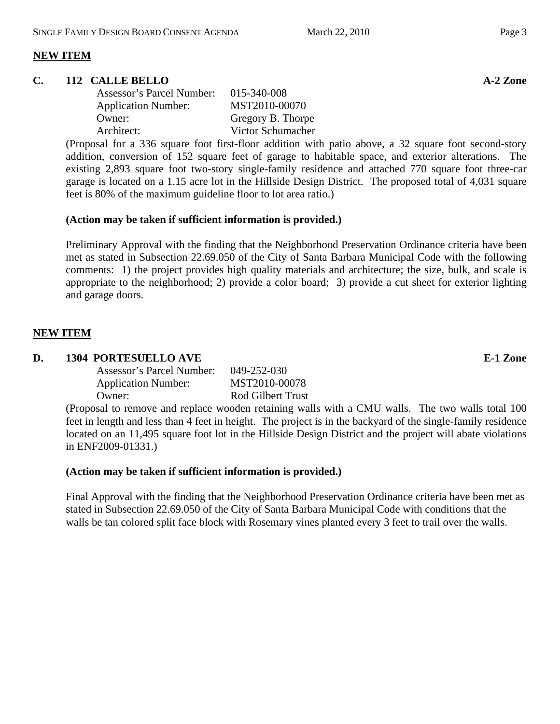# **NEW ITEM**

#### **C.** 112 CALLE BELLO **A-2** Zone

| Assessor's Parcel Number:  | 015-340-008       |
|----------------------------|-------------------|
| <b>Application Number:</b> | MST2010-00070     |
| Owner:                     | Gregory B. Thorpe |
| Architect:                 | Victor Schumacher |

(Proposal for a 336 square foot first-floor addition with patio above, a 32 square foot second-story addition, conversion of 152 square feet of garage to habitable space, and exterior alterations. The existing 2,893 square foot two-story single-family residence and attached 770 square foot three-car garage is located on a 1.15 acre lot in the Hillside Design District. The proposed total of 4,031 square feet is 80% of the maximum guideline floor to lot area ratio.)

## **(Action may be taken if sufficient information is provided.)**

Preliminary Approval with the finding that the Neighborhood Preservation Ordinance criteria have been met as stated in Subsection 22.69.050 of the City of Santa Barbara Municipal Code with the following comments: 1) the project provides high quality materials and architecture; the size, bulk, and scale is appropriate to the neighborhood; 2) provide a color board; 3) provide a cut sheet for exterior lighting and garage doors.

## **NEW ITEM**

## **D. 1304 PORTESUELLO AVE E-1 Zone**

| Assessor's Parcel Number:  | 049-252-030       |
|----------------------------|-------------------|
| <b>Application Number:</b> | MST2010-00078     |
| Owner:                     | Rod Gilbert Trust |
|                            |                   |

(Proposal to remove and replace wooden retaining walls with a CMU walls. The two walls total 100 feet in length and less than 4 feet in height. The project is in the backyard of the single-family residence located on an 11,495 square foot lot in the Hillside Design District and the project will abate violations in ENF2009-01331.)

#### **(Action may be taken if sufficient information is provided.)**

Final Approval with the finding that the Neighborhood Preservation Ordinance criteria have been met as stated in Subsection 22.69.050 of the City of Santa Barbara Municipal Code with conditions that the walls be tan colored split face block with Rosemary vines planted every 3 feet to trail over the walls.